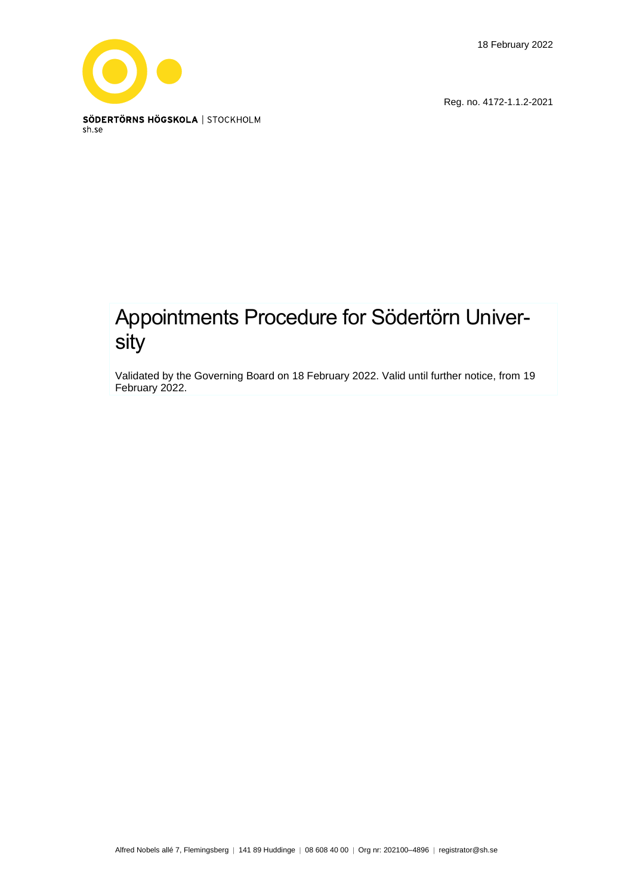18 February 2022



Reg. no. 4172-1.1.2-2021

# Appointments Procedure for Södertörn University

Validated by the Governing Board on 18 February 2022. Valid until further notice, from 19 February 2022.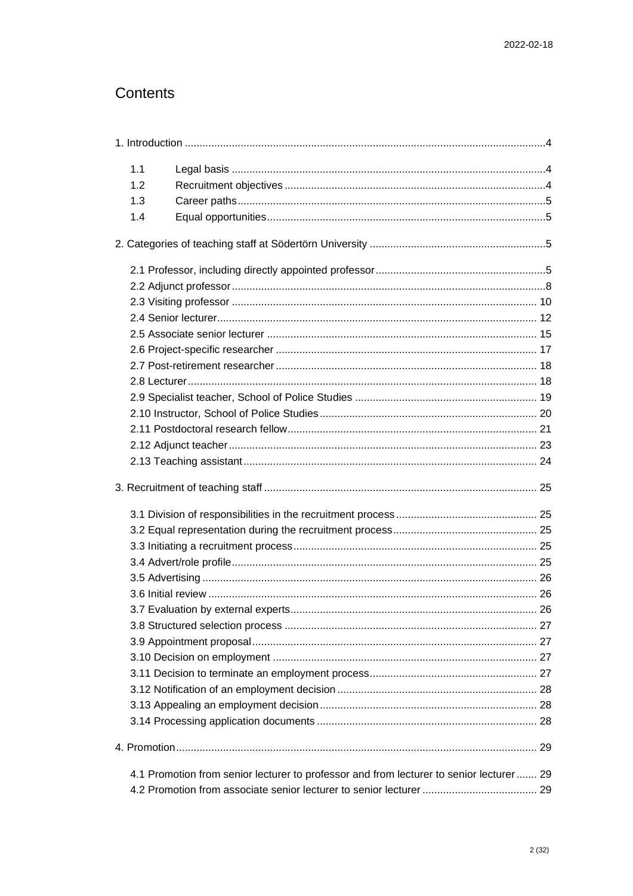# Contents

| 1.1 |                                                                                          |  |
|-----|------------------------------------------------------------------------------------------|--|
| 1.2 |                                                                                          |  |
| 1.3 |                                                                                          |  |
| 1.4 |                                                                                          |  |
|     |                                                                                          |  |
|     |                                                                                          |  |
|     |                                                                                          |  |
|     |                                                                                          |  |
|     |                                                                                          |  |
|     |                                                                                          |  |
|     |                                                                                          |  |
|     |                                                                                          |  |
|     |                                                                                          |  |
|     |                                                                                          |  |
|     |                                                                                          |  |
|     |                                                                                          |  |
|     |                                                                                          |  |
|     |                                                                                          |  |
|     |                                                                                          |  |
|     |                                                                                          |  |
|     |                                                                                          |  |
|     |                                                                                          |  |
|     |                                                                                          |  |
|     |                                                                                          |  |
|     |                                                                                          |  |
|     |                                                                                          |  |
|     |                                                                                          |  |
|     |                                                                                          |  |
|     |                                                                                          |  |
|     |                                                                                          |  |
|     |                                                                                          |  |
|     |                                                                                          |  |
|     |                                                                                          |  |
|     |                                                                                          |  |
|     | 4.1 Promotion from senior lecturer to professor and from lecturer to senior lecturer  29 |  |
|     |                                                                                          |  |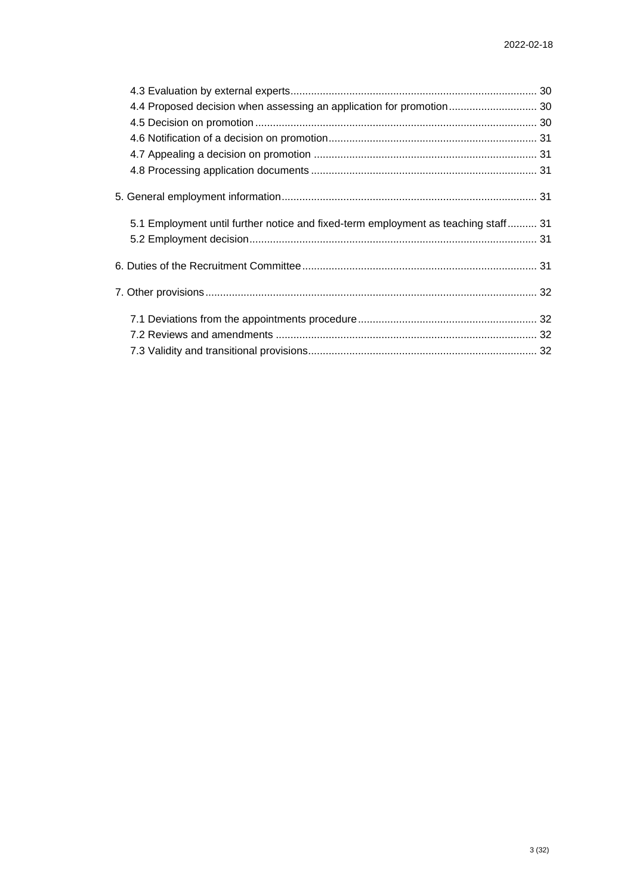| 4.4 Proposed decision when assessing an application for promotion 30               |  |
|------------------------------------------------------------------------------------|--|
|                                                                                    |  |
|                                                                                    |  |
|                                                                                    |  |
|                                                                                    |  |
|                                                                                    |  |
| 5.1 Employment until further notice and fixed-term employment as teaching staff 31 |  |
|                                                                                    |  |
|                                                                                    |  |
|                                                                                    |  |
|                                                                                    |  |
|                                                                                    |  |
|                                                                                    |  |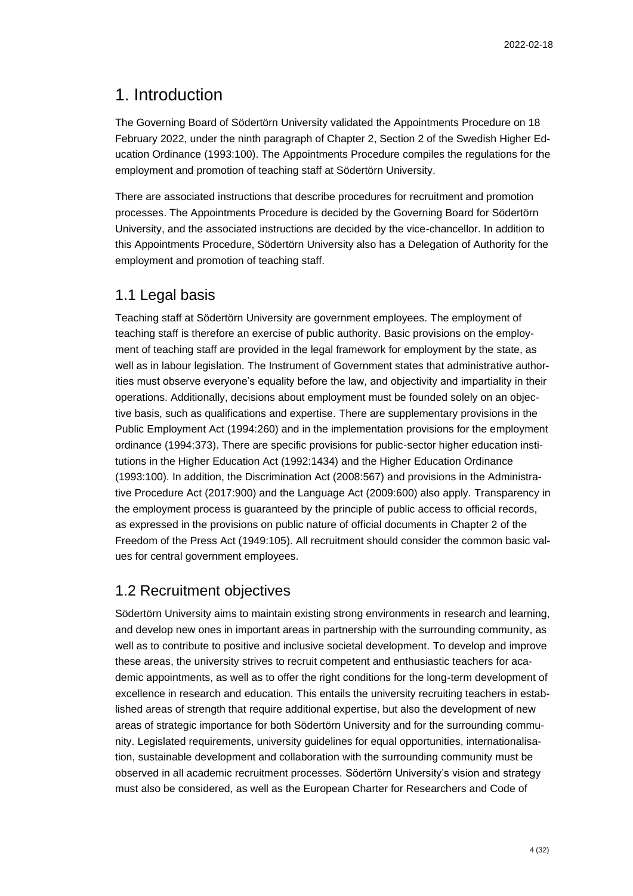## <span id="page-3-0"></span>1. Introduction

The Governing Board of Södertörn University validated the Appointments Procedure on 18 February 2022, under the ninth paragraph of Chapter 2, Section 2 of the Swedish Higher Education Ordinance (1993:100). The Appointments Procedure compiles the regulations for the employment and promotion of teaching staff at Södertörn University.

There are associated instructions that describe procedures for recruitment and promotion processes. The Appointments Procedure is decided by the Governing Board for Södertörn University, and the associated instructions are decided by the vice-chancellor. In addition to this Appointments Procedure, Södertörn University also has a Delegation of Authority for the employment and promotion of teaching staff.

## <span id="page-3-1"></span>1.1 Legal basis

Teaching staff at Södertörn University are government employees. The employment of teaching staff is therefore an exercise of public authority. Basic provisions on the employment of teaching staff are provided in the legal framework for employment by the state, as well as in labour legislation. The Instrument of Government states that administrative authorities must observe everyone's equality before the law, and objectivity and impartiality in their operations. Additionally, decisions about employment must be founded solely on an objective basis, such as qualifications and expertise. There are supplementary provisions in the Public Employment Act (1994:260) and in the implementation provisions for the employment ordinance (1994:373). There are specific provisions for public-sector higher education institutions in the Higher Education Act (1992:1434) and the Higher Education Ordinance (1993:100). In addition, the Discrimination Act (2008:567) and provisions in the Administrative Procedure Act (2017:900) and the Language Act (2009:600) also apply. Transparency in the employment process is guaranteed by the principle of public access to official records, as expressed in the provisions on public nature of official documents in Chapter 2 of the Freedom of the Press Act (1949:105). All recruitment should consider the common basic values for central government employees.

## <span id="page-3-2"></span>1.2 Recruitment objectives

Södertörn University aims to maintain existing strong environments in research and learning, and develop new ones in important areas in partnership with the surrounding community, as well as to contribute to positive and inclusive societal development. To develop and improve these areas, the university strives to recruit competent and enthusiastic teachers for academic appointments, as well as to offer the right conditions for the long-term development of excellence in research and education. This entails the university recruiting teachers in established areas of strength that require additional expertise, but also the development of new areas of strategic importance for both Södertörn University and for the surrounding community. Legislated requirements, university guidelines for equal opportunities, internationalisation, sustainable development and collaboration with the surrounding community must be observed in all academic recruitment processes. Södertörn University's vision and strategy must also be considered, as well as the European Charter for Researchers and Code of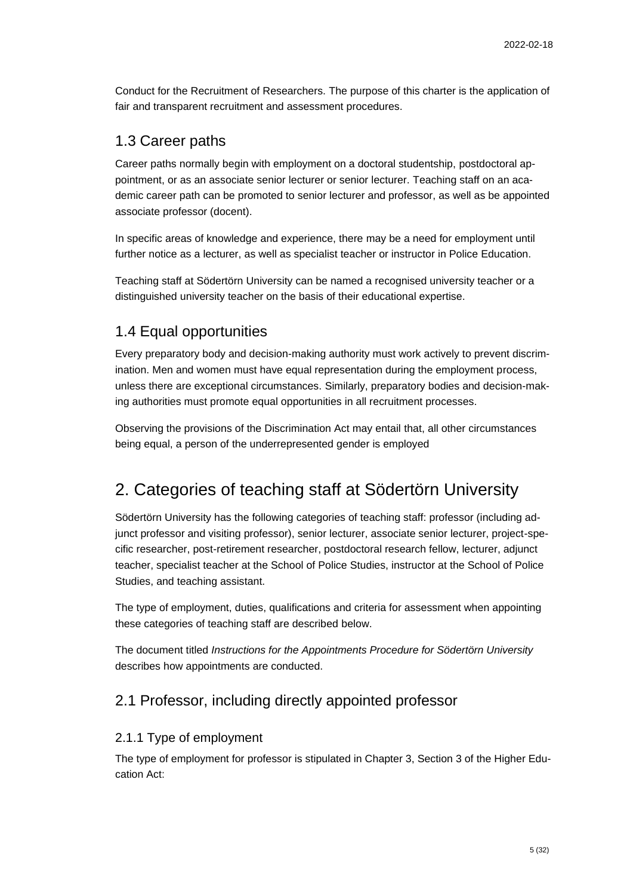Conduct for the Recruitment of Researchers. The purpose of this charter is the application of fair and transparent recruitment and assessment procedures.

## <span id="page-4-0"></span>1.3 Career paths

Career paths normally begin with employment on a doctoral studentship, postdoctoral appointment, or as an associate senior lecturer or senior lecturer. Teaching staff on an academic career path can be promoted to senior lecturer and professor, as well as be appointed associate professor (docent).

In specific areas of knowledge and experience, there may be a need for employment until further notice as a lecturer, as well as specialist teacher or instructor in Police Education.

Teaching staff at Södertörn University can be named a recognised university teacher or a distinguished university teacher on the basis of their educational expertise.

## <span id="page-4-1"></span>1.4 Equal opportunities

Every preparatory body and decision-making authority must work actively to prevent discrimination. Men and women must have equal representation during the employment process, unless there are exceptional circumstances. Similarly, preparatory bodies and decision-making authorities must promote equal opportunities in all recruitment processes.

Observing the provisions of the Discrimination Act may entail that, all other circumstances being equal, a person of the underrepresented gender is employed

# <span id="page-4-2"></span>2. Categories of teaching staff at Södertörn University

Södertörn University has the following categories of teaching staff: professor (including adjunct professor and visiting professor), senior lecturer, associate senior lecturer, project-specific researcher, post-retirement researcher, postdoctoral research fellow, lecturer, adjunct teacher, specialist teacher at the School of Police Studies, instructor at the School of Police Studies, and teaching assistant.

The type of employment, duties, qualifications and criteria for assessment when appointing these categories of teaching staff are described below.

The document titled *Instructions for the Appointments Procedure for Södertörn University*  describes how appointments are conducted.

## <span id="page-4-3"></span>2.1 Professor, including directly appointed professor

#### 2.1.1 Type of employment

The type of employment for professor is stipulated in Chapter 3, Section 3 of the Higher Education Act: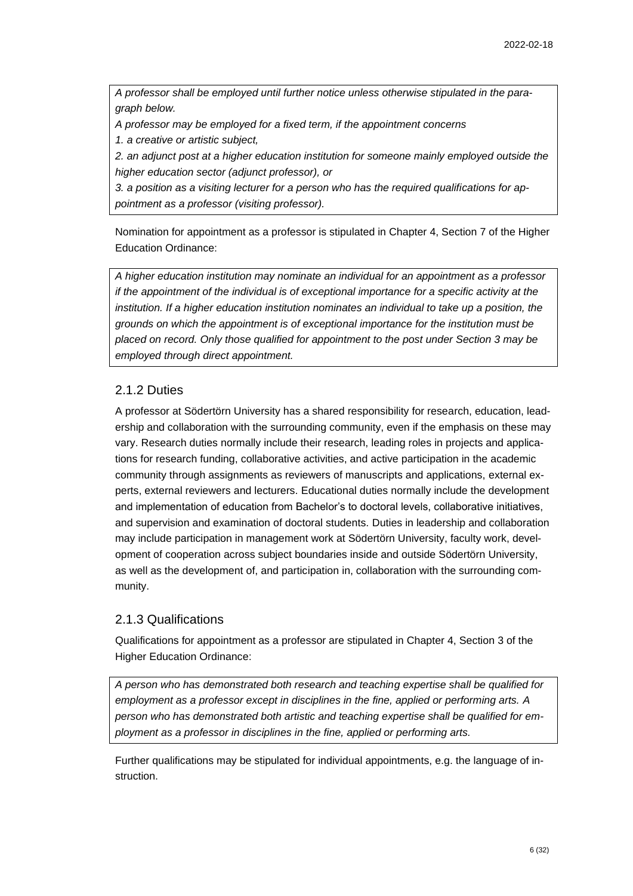*A professor shall be employed until further notice unless otherwise stipulated in the paragraph below.*

*A professor may be employed for a fixed term, if the appointment concerns* 

*1. a creative or artistic subject,* 

*2. an adjunct post at a higher education institution for someone mainly employed outside the higher education sector (adjunct professor), or* 

*3. a position as a visiting lecturer for a person who has the required qualifications for appointment as a professor (visiting professor).*

Nomination for appointment as a professor is stipulated in Chapter 4, Section 7 of the Higher Education Ordinance:

*A higher education institution may nominate an individual for an appointment as a professor if the appointment of the individual is of exceptional importance for a specific activity at the institution. If a higher education institution nominates an individual to take up a position, the grounds on which the appointment is of exceptional importance for the institution must be placed on record. Only those qualified for appointment to the post under Section 3 may be employed through direct appointment.*

### 2.1.2 Duties

A professor at Södertörn University has a shared responsibility for research, education, leadership and collaboration with the surrounding community, even if the emphasis on these may vary. Research duties normally include their research, leading roles in projects and applications for research funding, collaborative activities, and active participation in the academic community through assignments as reviewers of manuscripts and applications, external experts, external reviewers and lecturers. Educational duties normally include the development and implementation of education from Bachelor's to doctoral levels, collaborative initiatives, and supervision and examination of doctoral students. Duties in leadership and collaboration may include participation in management work at Södertörn University, faculty work, development of cooperation across subject boundaries inside and outside Södertörn University, as well as the development of, and participation in, collaboration with the surrounding community.

## 2.1.3 Qualifications

Qualifications for appointment as a professor are stipulated in Chapter 4, Section 3 of the Higher Education Ordinance:

*A person who has demonstrated both research and teaching expertise shall be qualified for employment as a professor except in disciplines in the fine, applied or performing arts. A person who has demonstrated both artistic and teaching expertise shall be qualified for employment as a professor in disciplines in the fine, applied or performing arts.*

Further qualifications may be stipulated for individual appointments, e.g. the language of instruction.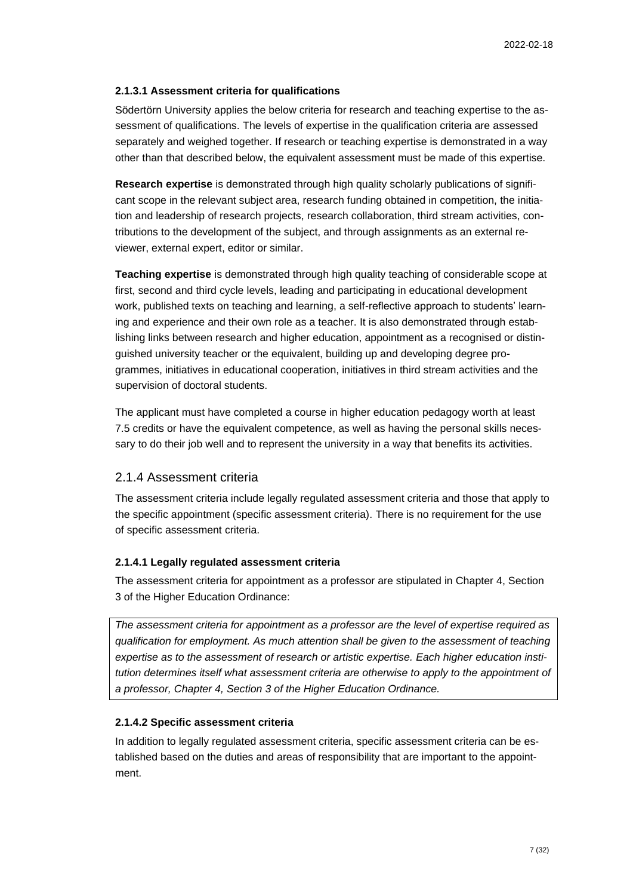#### **2.1.3.1 Assessment criteria for qualifications**

Södertörn University applies the below criteria for research and teaching expertise to the assessment of qualifications. The levels of expertise in the qualification criteria are assessed separately and weighed together. If research or teaching expertise is demonstrated in a way other than that described below, the equivalent assessment must be made of this expertise.

**Research expertise** is demonstrated through high quality scholarly publications of significant scope in the relevant subject area, research funding obtained in competition, the initiation and leadership of research projects, research collaboration, third stream activities, contributions to the development of the subject, and through assignments as an external reviewer, external expert, editor or similar.

**Teaching expertise** is demonstrated through high quality teaching of considerable scope at first, second and third cycle levels, leading and participating in educational development work, published texts on teaching and learning, a self-reflective approach to students' learning and experience and their own role as a teacher. It is also demonstrated through establishing links between research and higher education, appointment as a recognised or distinguished university teacher or the equivalent, building up and developing degree programmes, initiatives in educational cooperation, initiatives in third stream activities and the supervision of doctoral students.

The applicant must have completed a course in higher education pedagogy worth at least 7.5 credits or have the equivalent competence, as well as having the personal skills necessary to do their job well and to represent the university in a way that benefits its activities.

#### 2.1.4 Assessment criteria

The assessment criteria include legally regulated assessment criteria and those that apply to the specific appointment (specific assessment criteria). There is no requirement for the use of specific assessment criteria.

#### **2.1.4.1 Legally regulated assessment criteria**

The assessment criteria for appointment as a professor are stipulated in Chapter 4, Section 3 of the Higher Education Ordinance:

*The assessment criteria for appointment as a professor are the level of expertise required as qualification for employment. As much attention shall be given to the assessment of teaching expertise as to the assessment of research or artistic expertise. Each higher education institution determines itself what assessment criteria are otherwise to apply to the appointment of a professor, Chapter 4, Section 3 of the Higher Education Ordinance.*

#### **2.1.4.2 Specific assessment criteria**

In addition to legally regulated assessment criteria, specific assessment criteria can be established based on the duties and areas of responsibility that are important to the appointment.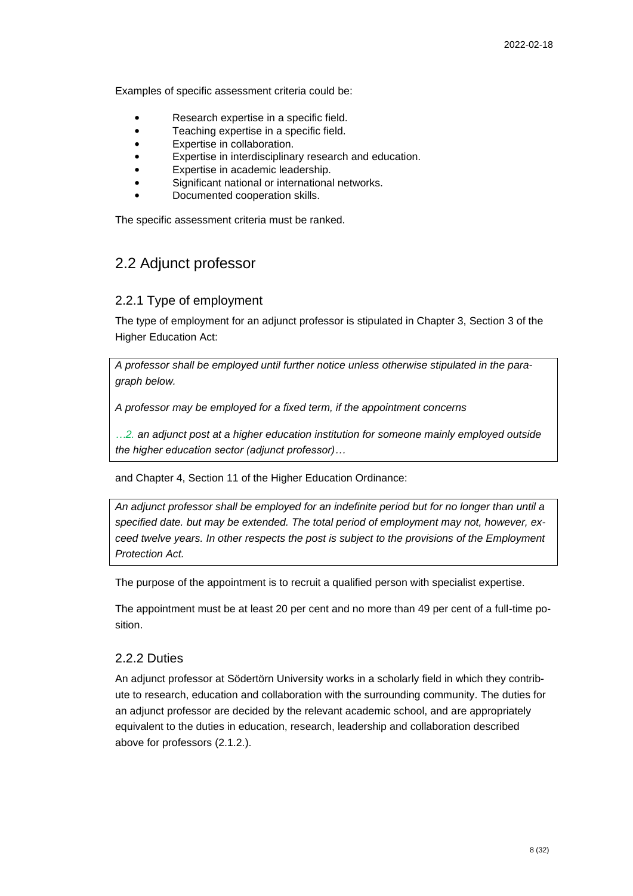Examples of specific assessment criteria could be:

- Research expertise in a specific field.
- Teaching expertise in a specific field.
- Expertise in collaboration.
- Expertise in interdisciplinary research and education.
- Expertise in academic leadership.
- Significant national or international networks.
- Documented cooperation skills.

The specific assessment criteria must be ranked.

## <span id="page-7-0"></span>2.2 Adjunct professor

#### 2.2.1 Type of employment

The type of employment for an adjunct professor is stipulated in Chapter 3, Section 3 of the Higher Education Act:

*A professor shall be employed until further notice unless otherwise stipulated in the paragraph below.*

*A professor may be employed for a fixed term, if the appointment concerns*

*…2. an adjunct post at a higher education institution for someone mainly employed outside the higher education sector (adjunct professor)…*

and Chapter 4, Section 11 of the Higher Education Ordinance:

*An adjunct professor shall be employed for an indefinite period but for no longer than until a specified date. but may be extended. The total period of employment may not, however, exceed twelve years. In other respects the post is subject to the provisions of the Employment Protection Act.*

The purpose of the appointment is to recruit a qualified person with specialist expertise.

The appointment must be at least 20 per cent and no more than 49 per cent of a full-time position.

#### 2.2.2 Duties

An adjunct professor at Södertörn University works in a scholarly field in which they contribute to research, education and collaboration with the surrounding community. The duties for an adjunct professor are decided by the relevant academic school, and are appropriately equivalent to the duties in education, research, leadership and collaboration described above for professors (2.1.2.).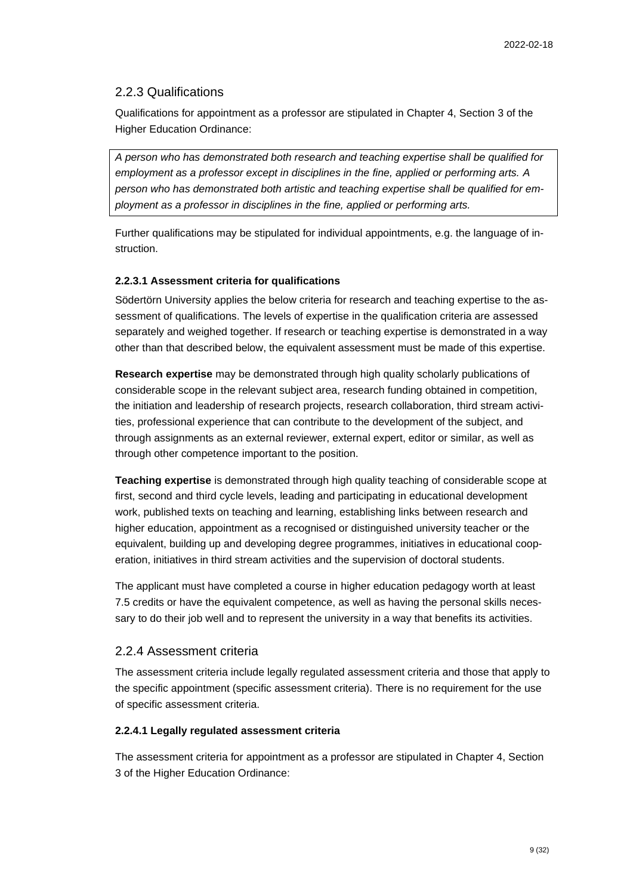#### 2.2.3 Qualifications

Qualifications for appointment as a professor are stipulated in Chapter 4, Section 3 of the Higher Education Ordinance:

*A person who has demonstrated both research and teaching expertise shall be qualified for employment as a professor except in disciplines in the fine, applied or performing arts. A person who has demonstrated both artistic and teaching expertise shall be qualified for employment as a professor in disciplines in the fine, applied or performing arts.*

Further qualifications may be stipulated for individual appointments, e.g. the language of instruction.

#### **2.2.3.1 Assessment criteria for qualifications**

Södertörn University applies the below criteria for research and teaching expertise to the assessment of qualifications. The levels of expertise in the qualification criteria are assessed separately and weighed together. If research or teaching expertise is demonstrated in a way other than that described below, the equivalent assessment must be made of this expertise.

**Research expertise** may be demonstrated through high quality scholarly publications of considerable scope in the relevant subject area, research funding obtained in competition, the initiation and leadership of research projects, research collaboration, third stream activities, professional experience that can contribute to the development of the subject, and through assignments as an external reviewer, external expert, editor or similar, as well as through other competence important to the position.

**Teaching expertise** is demonstrated through high quality teaching of considerable scope at first, second and third cycle levels, leading and participating in educational development work, published texts on teaching and learning, establishing links between research and higher education, appointment as a recognised or distinguished university teacher or the equivalent, building up and developing degree programmes, initiatives in educational cooperation, initiatives in third stream activities and the supervision of doctoral students.

The applicant must have completed a course in higher education pedagogy worth at least 7.5 credits or have the equivalent competence, as well as having the personal skills necessary to do their job well and to represent the university in a way that benefits its activities.

#### 2.2.4 Assessment criteria

The assessment criteria include legally regulated assessment criteria and those that apply to the specific appointment (specific assessment criteria). There is no requirement for the use of specific assessment criteria.

#### **2.2.4.1 Legally regulated assessment criteria**

The assessment criteria for appointment as a professor are stipulated in Chapter 4, Section 3 of the Higher Education Ordinance: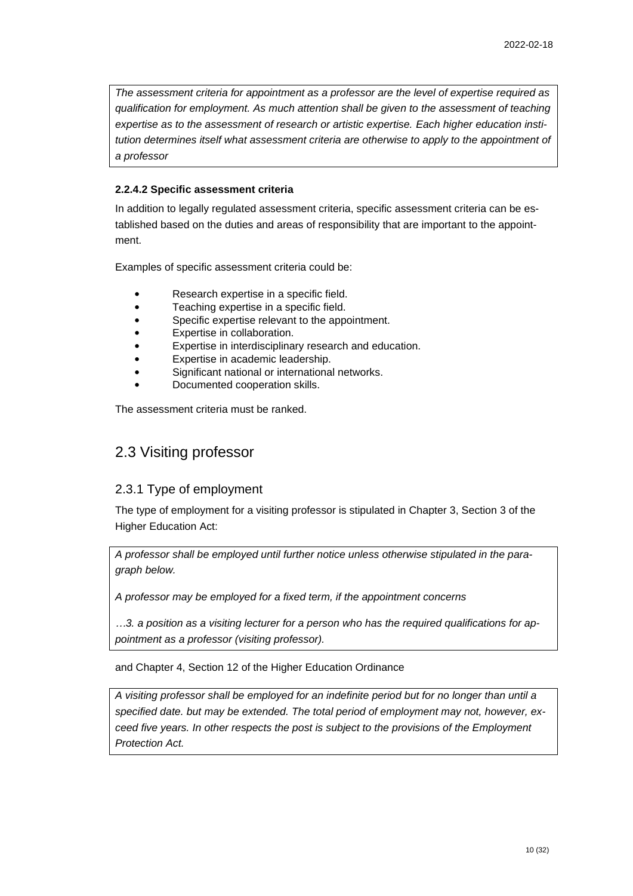*The assessment criteria for appointment as a professor are the level of expertise required as qualification for employment. As much attention shall be given to the assessment of teaching expertise as to the assessment of research or artistic expertise. Each higher education institution determines itself what assessment criteria are otherwise to apply to the appointment of a professor*

### **2.2.4.2 Specific assessment criteria**

In addition to legally regulated assessment criteria, specific assessment criteria can be established based on the duties and areas of responsibility that are important to the appointment.

Examples of specific assessment criteria could be:

- Research expertise in a specific field.
- Teaching expertise in a specific field.
- Specific expertise relevant to the appointment.
- Expertise in collaboration.
- Expertise in interdisciplinary research and education.
- Expertise in academic leadership.
- Significant national or international networks.
- Documented cooperation skills.

The assessment criteria must be ranked.

## <span id="page-9-0"></span>2.3 Visiting professor

## 2.3.1 Type of employment

The type of employment for a visiting professor is stipulated in Chapter 3, Section 3 of the Higher Education Act:

*A professor shall be employed until further notice unless otherwise stipulated in the paragraph below.*

*A professor may be employed for a fixed term, if the appointment concerns*

*…3. a position as a visiting lecturer for a person who has the required qualifications for appointment as a professor (visiting professor).*

and Chapter 4, Section 12 of the Higher Education Ordinance

*A visiting professor shall be employed for an indefinite period but for no longer than until a specified date. but may be extended. The total period of employment may not, however, exceed five years. In other respects the post is subject to the provisions of the Employment Protection Act.*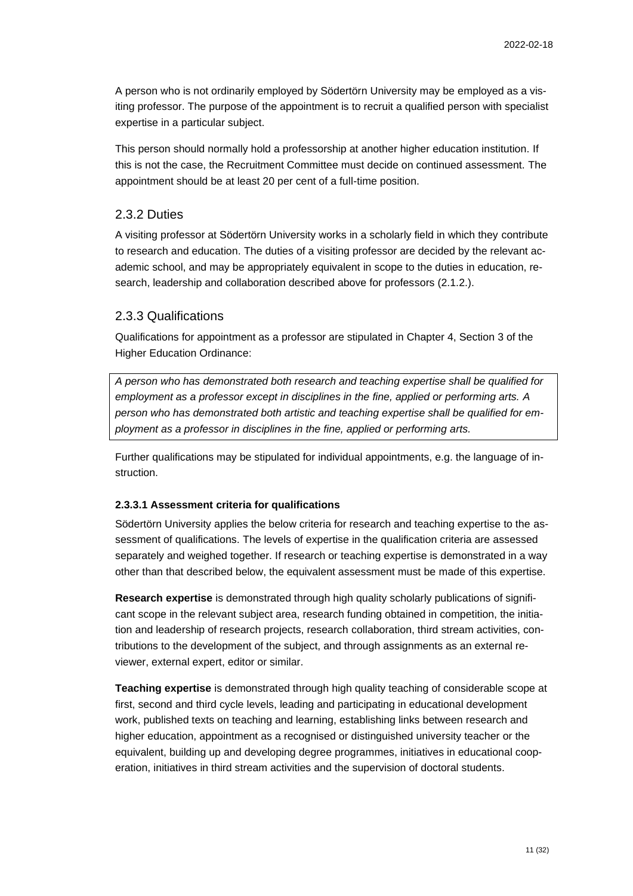A person who is not ordinarily employed by Södertörn University may be employed as a visiting professor. The purpose of the appointment is to recruit a qualified person with specialist expertise in a particular subject.

This person should normally hold a professorship at another higher education institution. If this is not the case, the Recruitment Committee must decide on continued assessment. The appointment should be at least 20 per cent of a full-time position.

#### 2.3.2 Duties

A visiting professor at Södertörn University works in a scholarly field in which they contribute to research and education. The duties of a visiting professor are decided by the relevant academic school, and may be appropriately equivalent in scope to the duties in education, research, leadership and collaboration described above for professors (2.1.2.).

#### 2.3.3 Qualifications

Qualifications for appointment as a professor are stipulated in Chapter 4, Section 3 of the Higher Education Ordinance:

*A person who has demonstrated both research and teaching expertise shall be qualified for employment as a professor except in disciplines in the fine, applied or performing arts. A person who has demonstrated both artistic and teaching expertise shall be qualified for employment as a professor in disciplines in the fine, applied or performing arts.*

Further qualifications may be stipulated for individual appointments, e.g. the language of instruction.

#### **2.3.3.1 Assessment criteria for qualifications**

Södertörn University applies the below criteria for research and teaching expertise to the assessment of qualifications. The levels of expertise in the qualification criteria are assessed separately and weighed together. If research or teaching expertise is demonstrated in a way other than that described below, the equivalent assessment must be made of this expertise.

**Research expertise** is demonstrated through high quality scholarly publications of significant scope in the relevant subject area, research funding obtained in competition, the initiation and leadership of research projects, research collaboration, third stream activities, contributions to the development of the subject, and through assignments as an external reviewer, external expert, editor or similar.

**Teaching expertise** is demonstrated through high quality teaching of considerable scope at first, second and third cycle levels, leading and participating in educational development work, published texts on teaching and learning, establishing links between research and higher education, appointment as a recognised or distinguished university teacher or the equivalent, building up and developing degree programmes, initiatives in educational cooperation, initiatives in third stream activities and the supervision of doctoral students.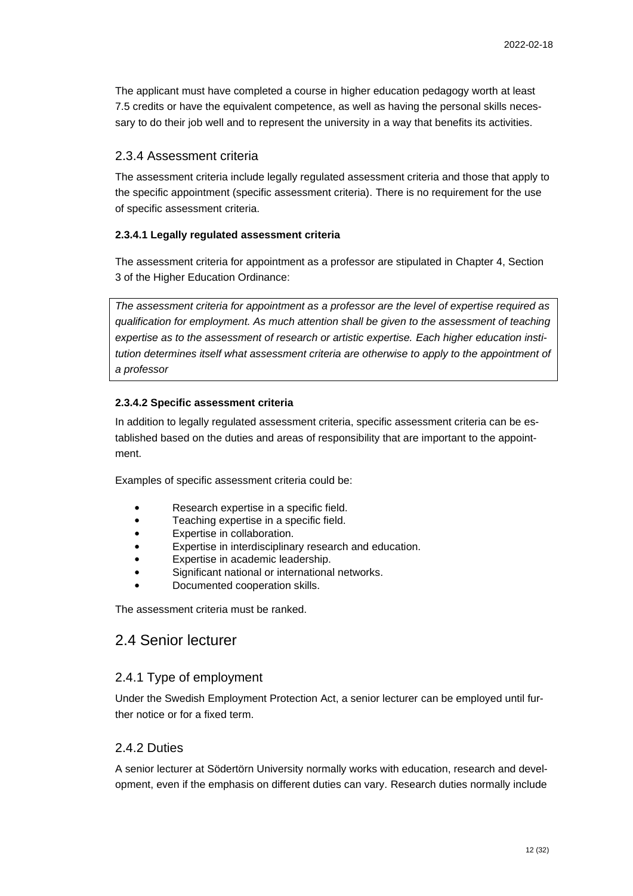The applicant must have completed a course in higher education pedagogy worth at least 7.5 credits or have the equivalent competence, as well as having the personal skills necessary to do their job well and to represent the university in a way that benefits its activities.

#### 2.3.4 Assessment criteria

The assessment criteria include legally regulated assessment criteria and those that apply to the specific appointment (specific assessment criteria). There is no requirement for the use of specific assessment criteria.

#### **2.3.4.1 Legally regulated assessment criteria**

The assessment criteria for appointment as a professor are stipulated in Chapter 4, Section 3 of the Higher Education Ordinance:

*The assessment criteria for appointment as a professor are the level of expertise required as qualification for employment. As much attention shall be given to the assessment of teaching expertise as to the assessment of research or artistic expertise. Each higher education institution determines itself what assessment criteria are otherwise to apply to the appointment of a professor*

#### **2.3.4.2 Specific assessment criteria**

In addition to legally regulated assessment criteria, specific assessment criteria can be established based on the duties and areas of responsibility that are important to the appointment.

Examples of specific assessment criteria could be:

- Research expertise in a specific field.
- Teaching expertise in a specific field.
- Expertise in collaboration.
- Expertise in interdisciplinary research and education.
- Expertise in academic leadership.
- Significant national or international networks.
- Documented cooperation skills.

<span id="page-11-0"></span>The assessment criteria must be ranked.

## 2.4 Senior lecturer

#### 2.4.1 Type of employment

Under the Swedish Employment Protection Act, a senior lecturer can be employed until further notice or for a fixed term.

### 2.4.2 Duties

A senior lecturer at Södertörn University normally works with education, research and development, even if the emphasis on different duties can vary. Research duties normally include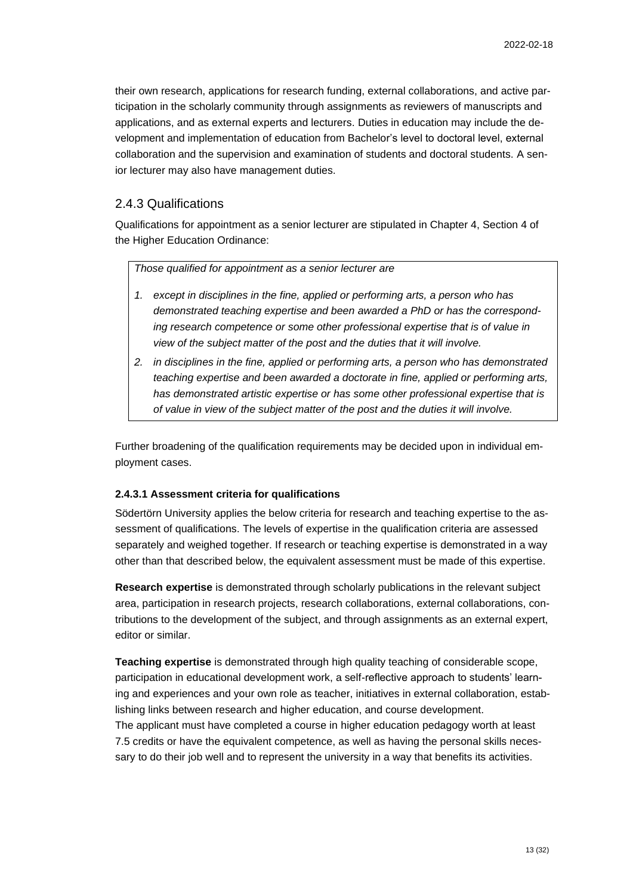their own research, applications for research funding, external collaborations, and active participation in the scholarly community through assignments as reviewers of manuscripts and applications, and as external experts and lecturers. Duties in education may include the development and implementation of education from Bachelor's level to doctoral level, external collaboration and the supervision and examination of students and doctoral students. A senior lecturer may also have management duties.

### 2.4.3 Qualifications

Qualifications for appointment as a senior lecturer are stipulated in Chapter 4, Section 4 of the Higher Education Ordinance:

*Those qualified for appointment as a senior lecturer are*

- *1. except in disciplines in the fine, applied or performing arts, a person who has demonstrated teaching expertise and been awarded a PhD or has the corresponding research competence or some other professional expertise that is of value in view of the subject matter of the post and the duties that it will involve.*
- *2. in disciplines in the fine, applied or performing arts, a person who has demonstrated teaching expertise and been awarded a doctorate in fine, applied or performing arts, has demonstrated artistic expertise or has some other professional expertise that is of value in view of the subject matter of the post and the duties it will involve.*

Further broadening of the qualification requirements may be decided upon in individual employment cases.

#### **2.4.3.1 Assessment criteria for qualifications**

Södertörn University applies the below criteria for research and teaching expertise to the assessment of qualifications. The levels of expertise in the qualification criteria are assessed separately and weighed together. If research or teaching expertise is demonstrated in a way other than that described below, the equivalent assessment must be made of this expertise.

**Research expertise** is demonstrated through scholarly publications in the relevant subject area, participation in research projects, research collaborations, external collaborations, contributions to the development of the subject, and through assignments as an external expert, editor or similar.

**Teaching expertise** is demonstrated through high quality teaching of considerable scope, participation in educational development work, a self-reflective approach to students' learning and experiences and your own role as teacher, initiatives in external collaboration, establishing links between research and higher education, and course development. The applicant must have completed a course in higher education pedagogy worth at least 7.5 credits or have the equivalent competence, as well as having the personal skills necessary to do their job well and to represent the university in a way that benefits its activities.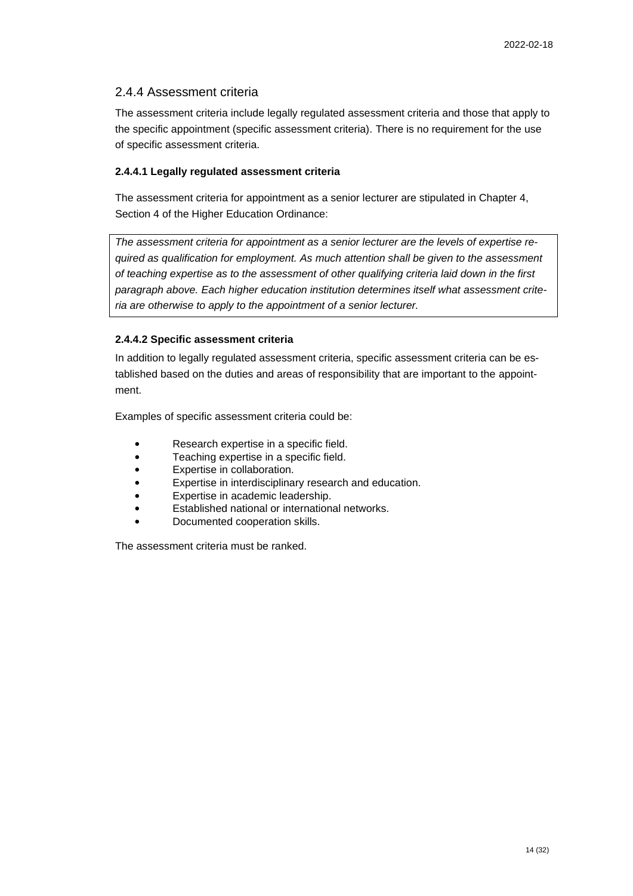### 2.4.4 Assessment criteria

The assessment criteria include legally regulated assessment criteria and those that apply to the specific appointment (specific assessment criteria). There is no requirement for the use of specific assessment criteria.

#### **2.4.4.1 Legally regulated assessment criteria**

The assessment criteria for appointment as a senior lecturer are stipulated in Chapter 4, Section 4 of the Higher Education Ordinance:

*The assessment criteria for appointment as a senior lecturer are the levels of expertise required as qualification for employment. As much attention shall be given to the assessment of teaching expertise as to the assessment of other qualifying criteria laid down in the first paragraph above. Each higher education institution determines itself what assessment criteria are otherwise to apply to the appointment of a senior lecturer.*

#### **2.4.4.2 Specific assessment criteria**

In addition to legally regulated assessment criteria, specific assessment criteria can be established based on the duties and areas of responsibility that are important to the appointment.

Examples of specific assessment criteria could be:

- Research expertise in a specific field.
- Teaching expertise in a specific field.
- Expertise in collaboration.
- Expertise in interdisciplinary research and education.
- Expertise in academic leadership.
- Established national or international networks.
- Documented cooperation skills.

The assessment criteria must be ranked.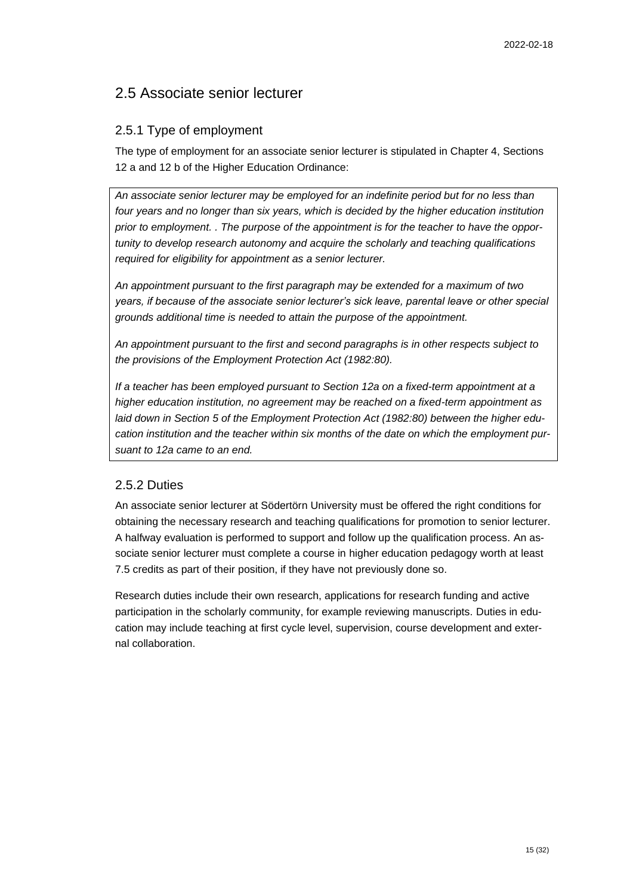## <span id="page-14-0"></span>2.5 Associate senior lecturer

## 2.5.1 Type of employment

The type of employment for an associate senior lecturer is stipulated in Chapter 4, Sections 12 a and 12 b of the Higher Education Ordinance:

*An associate senior lecturer may be employed for an indefinite period but for no less than*  four years and no longer than six years, which is decided by the higher education institution *prior to employment. . The purpose of the appointment is for the teacher to have the opportunity to develop research autonomy and acquire the scholarly and teaching qualifications required for eligibility for appointment as a senior lecturer.*

*An appointment pursuant to the first paragraph may be extended for a maximum of two years, if because of the associate senior lecturer's sick leave, parental leave or other special grounds additional time is needed to attain the purpose of the appointment.*

*An appointment pursuant to the first and second paragraphs is in other respects subject to the provisions of the Employment Protection Act (1982:80).*

*If a teacher has been employed pursuant to Section 12a on a fixed-term appointment at a higher education institution, no agreement may be reached on a fixed-term appointment as laid down in Section 5 of the Employment Protection Act (1982:80) between the higher education institution and the teacher within six months of the date on which the employment pursuant to 12a came to an end.*

## 2.5.2 Duties

An associate senior lecturer at Södertörn University must be offered the right conditions for obtaining the necessary research and teaching qualifications for promotion to senior lecturer. A halfway evaluation is performed to support and follow up the qualification process. An associate senior lecturer must complete a course in higher education pedagogy worth at least 7.5 credits as part of their position, if they have not previously done so.

Research duties include their own research, applications for research funding and active participation in the scholarly community, for example reviewing manuscripts. Duties in education may include teaching at first cycle level, supervision, course development and external collaboration.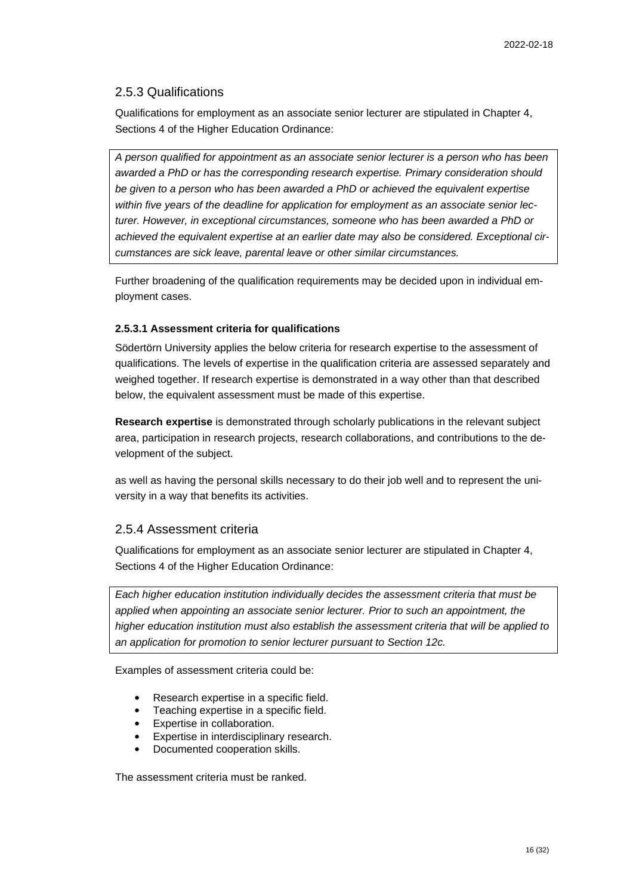#### 2.5.3 Qualifications

Qualifications for employment as an associate senior lecturer are stipulated in Chapter 4, Sections 4 of the Higher Education Ordinance:

*A person qualified for appointment as an associate senior lecturer is a person who has been awarded a PhD or has the corresponding research expertise. Primary consideration should be given to a person who has been awarded a PhD or achieved the equivalent expertise within five years of the deadline for application for employment as an associate senior lecturer. However, in exceptional circumstances, someone who has been awarded a PhD or achieved the equivalent expertise at an earlier date may also be considered. Exceptional circumstances are sick leave, parental leave or other similar circumstances.*

Further broadening of the qualification requirements may be decided upon in individual employment cases.

#### **2.5.3.1 Assessment criteria for qualifications**

Södertörn University applies the below criteria for research expertise to the assessment of qualifications. The levels of expertise in the qualification criteria are assessed separately and weighed together. If research expertise is demonstrated in a way other than that described below, the equivalent assessment must be made of this expertise.

**Research expertise** is demonstrated through scholarly publications in the relevant subject area, participation in research projects, research collaborations, and contributions to the development of the subject.

as well as having the personal skills necessary to do their job well and to represent the university in a way that benefits its activities.

### 2.5.4 Assessment criteria

Qualifications for employment as an associate senior lecturer are stipulated in Chapter 4, Sections 4 of the Higher Education Ordinance:

*Each higher education institution individually decides the assessment criteria that must be applied when appointing an associate senior lecturer. Prior to such an appointment, the higher education institution must also establish the assessment criteria that will be applied to an application for promotion to senior lecturer pursuant to Section 12c.*

Examples of assessment criteria could be:

- Research expertise in a specific field.
- Teaching expertise in a specific field.
- Expertise in collaboration.
- Expertise in interdisciplinary research.
- Documented cooperation skills.

The assessment criteria must be ranked.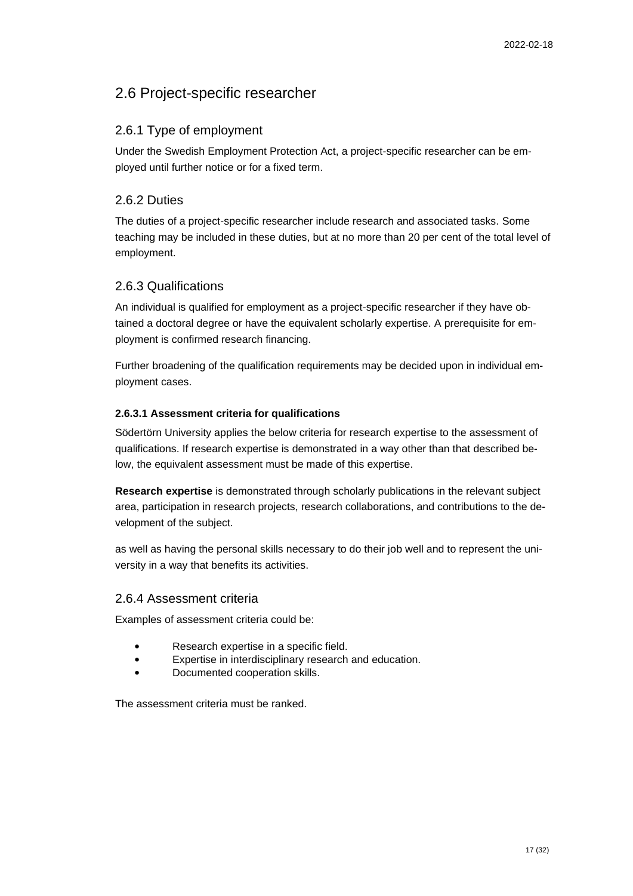## <span id="page-16-0"></span>2.6 Project-specific researcher

## 2.6.1 Type of employment

Under the Swedish Employment Protection Act, a project-specific researcher can be employed until further notice or for a fixed term.

### 2.6.2 Duties

The duties of a project-specific researcher include research and associated tasks. Some teaching may be included in these duties, but at no more than 20 per cent of the total level of employment.

### 2.6.3 Qualifications

An individual is qualified for employment as a project-specific researcher if they have obtained a doctoral degree or have the equivalent scholarly expertise. A prerequisite for employment is confirmed research financing.

Further broadening of the qualification requirements may be decided upon in individual employment cases.

#### **2.6.3.1 Assessment criteria for qualifications**

Södertörn University applies the below criteria for research expertise to the assessment of qualifications. If research expertise is demonstrated in a way other than that described below, the equivalent assessment must be made of this expertise.

**Research expertise** is demonstrated through scholarly publications in the relevant subject area, participation in research projects, research collaborations, and contributions to the development of the subject.

as well as having the personal skills necessary to do their job well and to represent the university in a way that benefits its activities.

#### 2.6.4 Assessment criteria

Examples of assessment criteria could be:

- Research expertise in a specific field.
- Expertise in interdisciplinary research and education.
- Documented cooperation skills.

The assessment criteria must be ranked.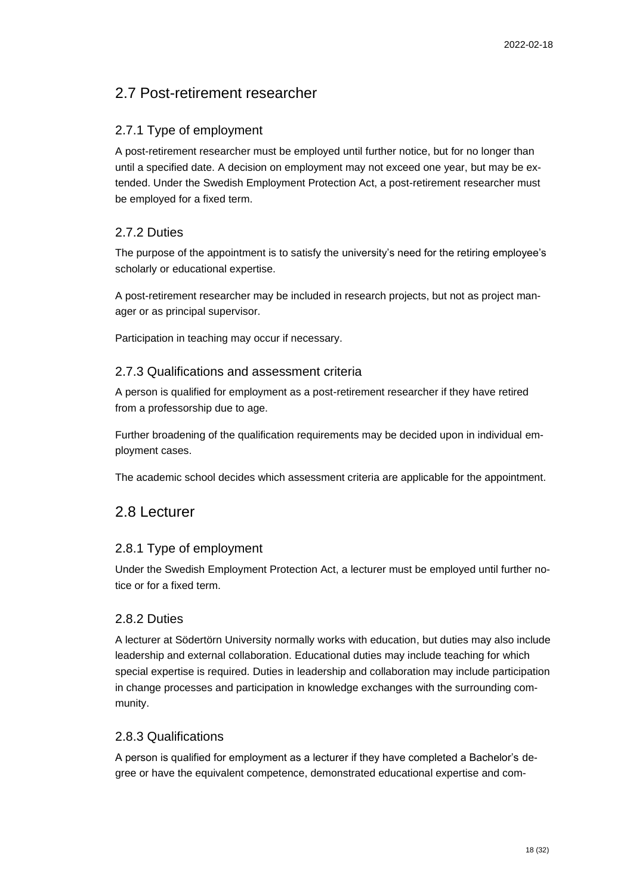## <span id="page-17-0"></span>2.7 Post-retirement researcher

## 2.7.1 Type of employment

A post-retirement researcher must be employed until further notice, but for no longer than until a specified date. A decision on employment may not exceed one year, but may be extended. Under the Swedish Employment Protection Act, a post-retirement researcher must be employed for a fixed term.

## 2.7.2 Duties

The purpose of the appointment is to satisfy the university's need for the retiring employee's scholarly or educational expertise.

A post-retirement researcher may be included in research projects, but not as project manager or as principal supervisor.

Participation in teaching may occur if necessary.

### 2.7.3 Qualifications and assessment criteria

A person is qualified for employment as a post-retirement researcher if they have retired from a professorship due to age.

Further broadening of the qualification requirements may be decided upon in individual employment cases.

The academic school decides which assessment criteria are applicable for the appointment.

## <span id="page-17-1"></span>2.8 Lecturer

## 2.8.1 Type of employment

Under the Swedish Employment Protection Act, a lecturer must be employed until further notice or for a fixed term.

### 2.8.2 Duties

A lecturer at Södertörn University normally works with education, but duties may also include leadership and external collaboration. Educational duties may include teaching for which special expertise is required. Duties in leadership and collaboration may include participation in change processes and participation in knowledge exchanges with the surrounding community.

## 2.8.3 Qualifications

A person is qualified for employment as a lecturer if they have completed a Bachelor's degree or have the equivalent competence, demonstrated educational expertise and com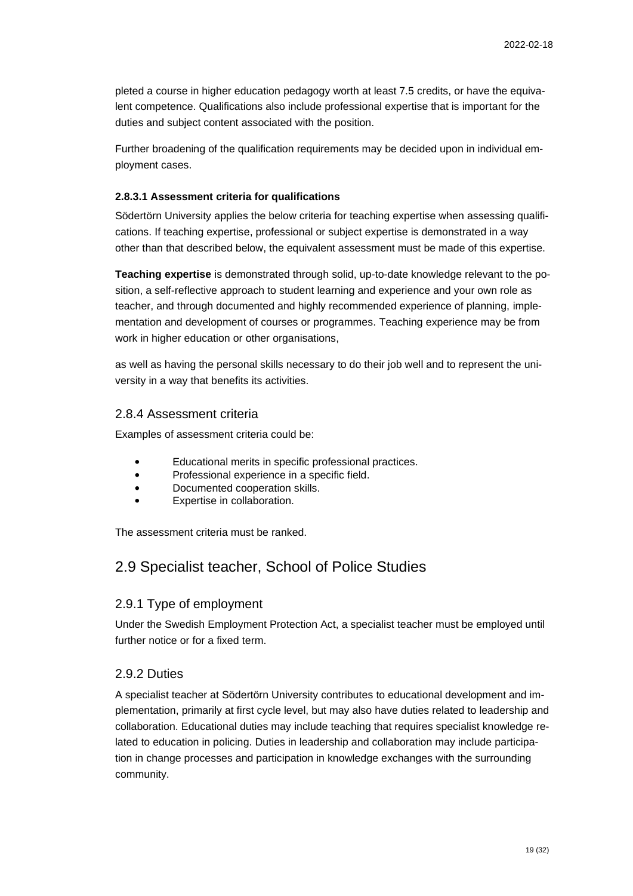pleted a course in higher education pedagogy worth at least 7.5 credits, or have the equivalent competence. Qualifications also include professional expertise that is important for the duties and subject content associated with the position.

Further broadening of the qualification requirements may be decided upon in individual employment cases.

#### **2.8.3.1 Assessment criteria for qualifications**

Södertörn University applies the below criteria for teaching expertise when assessing qualifications. If teaching expertise, professional or subject expertise is demonstrated in a way other than that described below, the equivalent assessment must be made of this expertise.

**Teaching expertise** is demonstrated through solid, up-to-date knowledge relevant to the position, a self-reflective approach to student learning and experience and your own role as teacher, and through documented and highly recommended experience of planning, implementation and development of courses or programmes. Teaching experience may be from work in higher education or other organisations,

as well as having the personal skills necessary to do their job well and to represent the university in a way that benefits its activities.

#### 2.8.4 Assessment criteria

Examples of assessment criteria could be:

- Educational merits in specific professional practices.
- Professional experience in a specific field.
- Documented cooperation skills.
- Expertise in collaboration.

The assessment criteria must be ranked.

## <span id="page-18-0"></span>2.9 Specialist teacher, School of Police Studies

#### 2.9.1 Type of employment

Under the Swedish Employment Protection Act, a specialist teacher must be employed until further notice or for a fixed term.

### 2.9.2 Duties

A specialist teacher at Södertörn University contributes to educational development and implementation, primarily at first cycle level, but may also have duties related to leadership and collaboration. Educational duties may include teaching that requires specialist knowledge related to education in policing. Duties in leadership and collaboration may include participation in change processes and participation in knowledge exchanges with the surrounding community.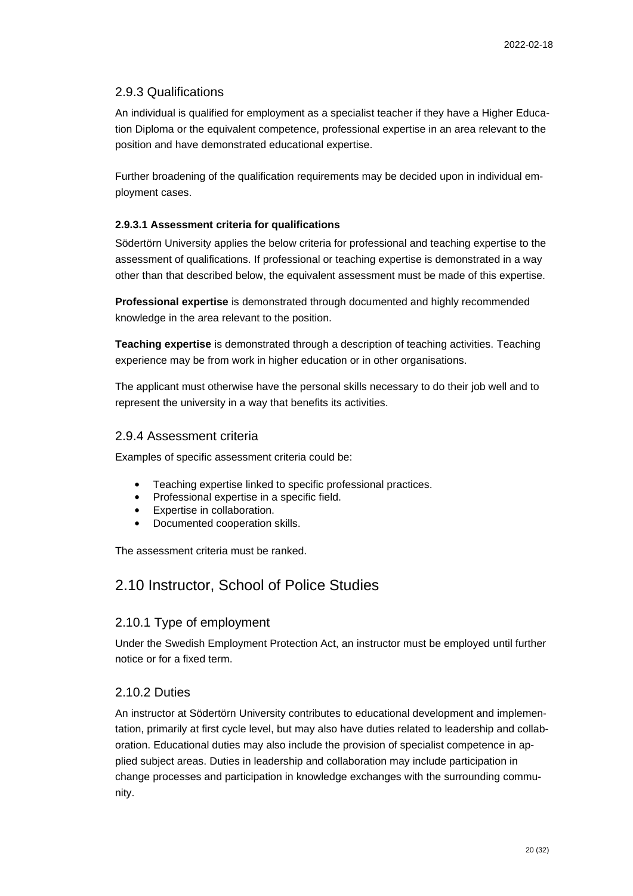## 2.9.3 Qualifications

An individual is qualified for employment as a specialist teacher if they have a Higher Education Diploma or the equivalent competence, professional expertise in an area relevant to the position and have demonstrated educational expertise.

Further broadening of the qualification requirements may be decided upon in individual employment cases.

#### **2.9.3.1 Assessment criteria for qualifications**

Södertörn University applies the below criteria for professional and teaching expertise to the assessment of qualifications. If professional or teaching expertise is demonstrated in a way other than that described below, the equivalent assessment must be made of this expertise.

**Professional expertise** is demonstrated through documented and highly recommended knowledge in the area relevant to the position.

**Teaching expertise** is demonstrated through a description of teaching activities. Teaching experience may be from work in higher education or in other organisations.

The applicant must otherwise have the personal skills necessary to do their job well and to represent the university in a way that benefits its activities.

#### 2.9.4 Assessment criteria

Examples of specific assessment criteria could be:

- Teaching expertise linked to specific professional practices.
- Professional expertise in a specific field.
- Expertise in collaboration.
- Documented cooperation skills.

The assessment criteria must be ranked.

## <span id="page-19-0"></span>2.10 Instructor, School of Police Studies

### 2.10.1 Type of employment

Under the Swedish Employment Protection Act, an instructor must be employed until further notice or for a fixed term.

### 2.10.2 Duties

An instructor at Södertörn University contributes to educational development and implementation, primarily at first cycle level, but may also have duties related to leadership and collaboration. Educational duties may also include the provision of specialist competence in applied subject areas. Duties in leadership and collaboration may include participation in change processes and participation in knowledge exchanges with the surrounding community.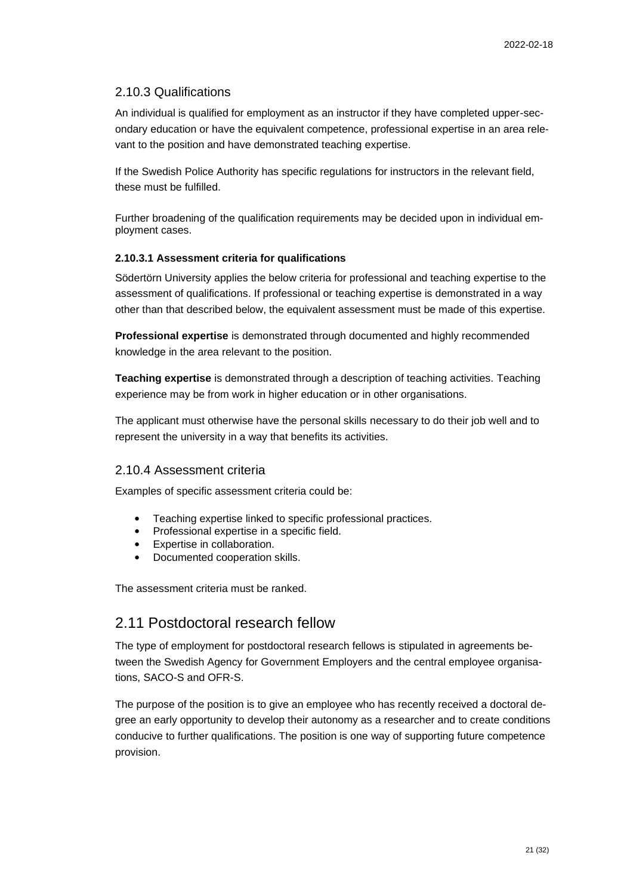### 2.10.3 Qualifications

An individual is qualified for employment as an instructor if they have completed upper-secondary education or have the equivalent competence, professional expertise in an area relevant to the position and have demonstrated teaching expertise.

If the Swedish Police Authority has specific regulations for instructors in the relevant field, these must be fulfilled.

Further broadening of the qualification requirements may be decided upon in individual employment cases.

#### **2.10.3.1 Assessment criteria for qualifications**

Södertörn University applies the below criteria for professional and teaching expertise to the assessment of qualifications. If professional or teaching expertise is demonstrated in a way other than that described below, the equivalent assessment must be made of this expertise.

**Professional expertise** is demonstrated through documented and highly recommended knowledge in the area relevant to the position.

**Teaching expertise** is demonstrated through a description of teaching activities. Teaching experience may be from work in higher education or in other organisations.

The applicant must otherwise have the personal skills necessary to do their job well and to represent the university in a way that benefits its activities.

#### 2.10.4 Assessment criteria

Examples of specific assessment criteria could be:

- Teaching expertise linked to specific professional practices.
- Professional expertise in a specific field.
- Expertise in collaboration.
- Documented cooperation skills.

The assessment criteria must be ranked.

## <span id="page-20-0"></span>2.11 Postdoctoral research fellow

The type of employment for postdoctoral research fellows is stipulated in agreements between the Swedish Agency for Government Employers and the central employee organisations, SACO-S and OFR-S.

The purpose of the position is to give an employee who has recently received a doctoral degree an early opportunity to develop their autonomy as a researcher and to create conditions conducive to further qualifications. The position is one way of supporting future competence provision.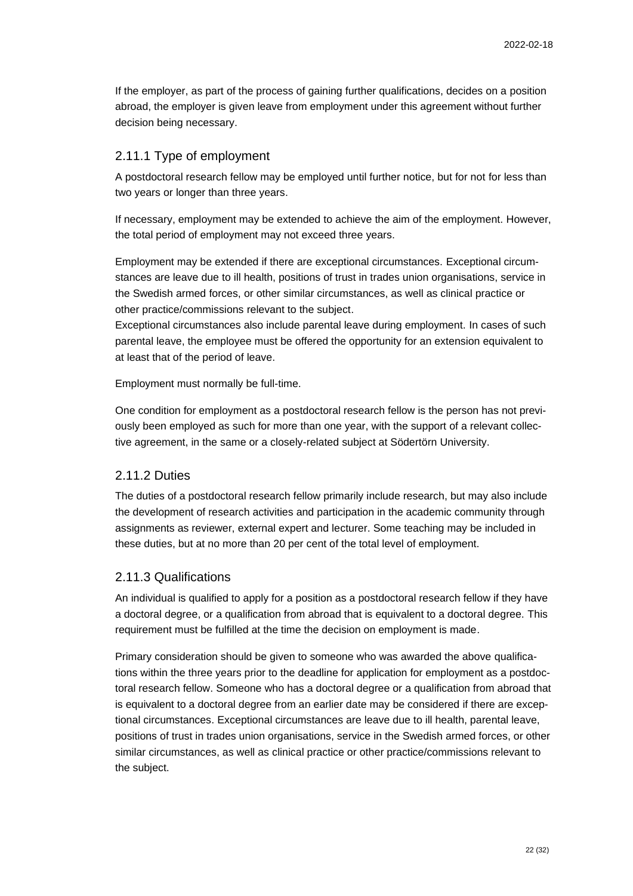If the employer, as part of the process of gaining further qualifications, decides on a position abroad, the employer is given leave from employment under this agreement without further decision being necessary.

#### 2.11.1 Type of employment

A postdoctoral research fellow may be employed until further notice, but for not for less than two years or longer than three years.

If necessary, employment may be extended to achieve the aim of the employment. However, the total period of employment may not exceed three years.

Employment may be extended if there are exceptional circumstances. Exceptional circumstances are leave due to ill health, positions of trust in trades union organisations, service in the Swedish armed forces, or other similar circumstances, as well as clinical practice or other practice/commissions relevant to the subject.

Exceptional circumstances also include parental leave during employment. In cases of such parental leave, the employee must be offered the opportunity for an extension equivalent to at least that of the period of leave.

Employment must normally be full-time.

One condition for employment as a postdoctoral research fellow is the person has not previously been employed as such for more than one year, with the support of a relevant collective agreement, in the same or a closely-related subject at Södertörn University.

#### 2.11.2 Duties

The duties of a postdoctoral research fellow primarily include research, but may also include the development of research activities and participation in the academic community through assignments as reviewer, external expert and lecturer. Some teaching may be included in these duties, but at no more than 20 per cent of the total level of employment.

### 2.11.3 Qualifications

An individual is qualified to apply for a position as a postdoctoral research fellow if they have a doctoral degree, or a qualification from abroad that is equivalent to a doctoral degree. This requirement must be fulfilled at the time the decision on employment is made.

Primary consideration should be given to someone who was awarded the above qualifications within the three years prior to the deadline for application for employment as a postdoctoral research fellow. Someone who has a doctoral degree or a qualification from abroad that is equivalent to a doctoral degree from an earlier date may be considered if there are exceptional circumstances. Exceptional circumstances are leave due to ill health, parental leave, positions of trust in trades union organisations, service in the Swedish armed forces, or other similar circumstances, as well as clinical practice or other practice/commissions relevant to the subject.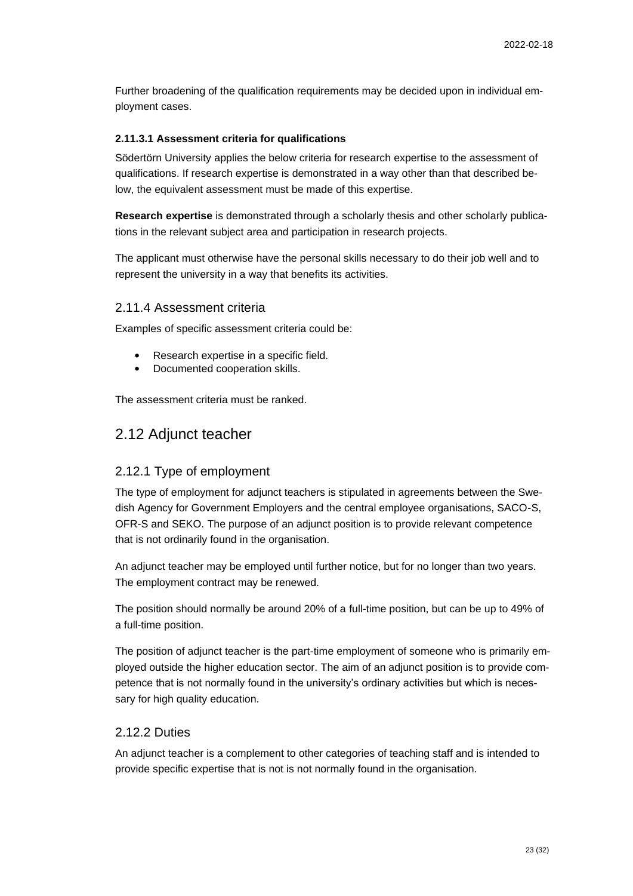Further broadening of the qualification requirements may be decided upon in individual employment cases.

#### **2.11.3.1 Assessment criteria for qualifications**

Södertörn University applies the below criteria for research expertise to the assessment of qualifications. If research expertise is demonstrated in a way other than that described below, the equivalent assessment must be made of this expertise.

**Research expertise** is demonstrated through a scholarly thesis and other scholarly publications in the relevant subject area and participation in research projects.

The applicant must otherwise have the personal skills necessary to do their job well and to represent the university in a way that benefits its activities.

#### 2.11.4 Assessment criteria

Examples of specific assessment criteria could be:

- Research expertise in a specific field.
- Documented cooperation skills.

The assessment criteria must be ranked.

### <span id="page-22-0"></span>2.12 Adjunct teacher

#### 2.12.1 Type of employment

The type of employment for adjunct teachers is stipulated in agreements between the Swedish Agency for Government Employers and the central employee organisations, SACO-S, OFR-S and SEKO. The purpose of an adjunct position is to provide relevant competence that is not ordinarily found in the organisation.

An adjunct teacher may be employed until further notice, but for no longer than two years. The employment contract may be renewed.

The position should normally be around 20% of a full-time position, but can be up to 49% of a full-time position.

The position of adjunct teacher is the part-time employment of someone who is primarily employed outside the higher education sector. The aim of an adjunct position is to provide competence that is not normally found in the university's ordinary activities but which is necessary for high quality education.

#### 2.12.2 Duties

An adjunct teacher is a complement to other categories of teaching staff and is intended to provide specific expertise that is not is not normally found in the organisation.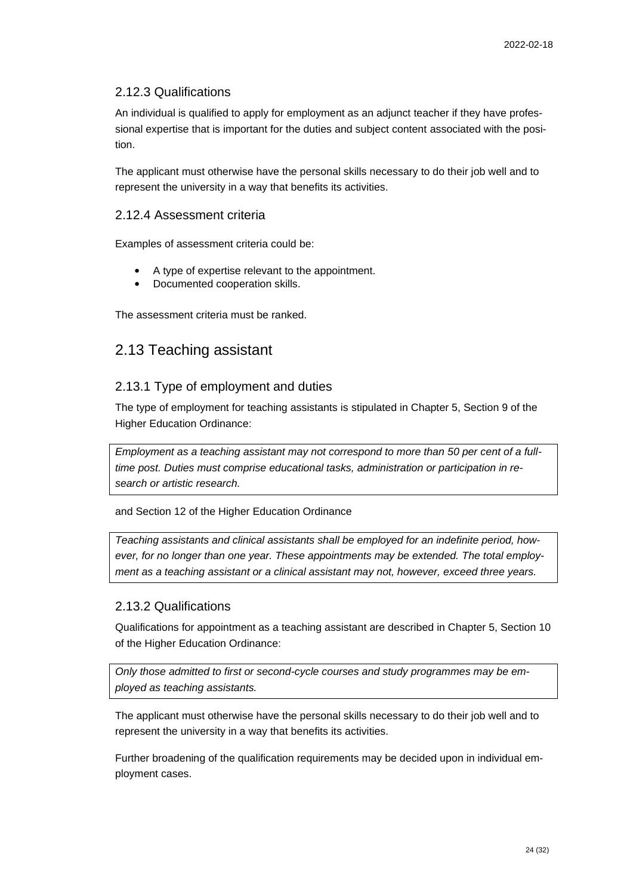### 2.12.3 Qualifications

An individual is qualified to apply for employment as an adjunct teacher if they have professional expertise that is important for the duties and subject content associated with the position.

The applicant must otherwise have the personal skills necessary to do their job well and to represent the university in a way that benefits its activities.

#### 2.12.4 Assessment criteria

Examples of assessment criteria could be:

- A type of expertise relevant to the appointment.
- Documented cooperation skills.

The assessment criteria must be ranked.

## <span id="page-23-0"></span>2.13 Teaching assistant

#### 2.13.1 Type of employment and duties

The type of employment for teaching assistants is stipulated in Chapter 5, Section 9 of the Higher Education Ordinance:

*Employment as a teaching assistant may not correspond to more than 50 per cent of a fulltime post. Duties must comprise educational tasks, administration or participation in research or artistic research.*

and Section 12 of the Higher Education Ordinance

*Teaching assistants and clinical assistants shall be employed for an indefinite period, however, for no longer than one year. These appointments may be extended. The total employment as a teaching assistant or a clinical assistant may not, however, exceed three years.*

#### 2.13.2 Qualifications

Qualifications for appointment as a teaching assistant are described in Chapter 5, Section 10 of the Higher Education Ordinance:

*Only those admitted to first or second-cycle courses and study programmes may be employed as teaching assistants.*

The applicant must otherwise have the personal skills necessary to do their job well and to represent the university in a way that benefits its activities.

Further broadening of the qualification requirements may be decided upon in individual employment cases.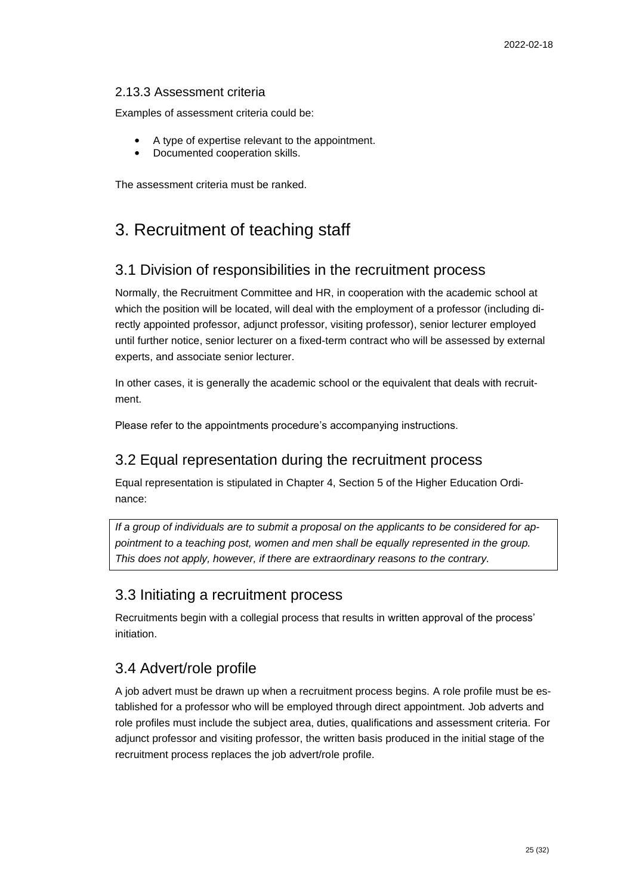#### 2.13.3 Assessment criteria

Examples of assessment criteria could be:

- A type of expertise relevant to the appointment.
- Documented cooperation skills.

The assessment criteria must be ranked.

# <span id="page-24-0"></span>3. Recruitment of teaching staff

## <span id="page-24-1"></span>3.1 Division of responsibilities in the recruitment process

Normally, the Recruitment Committee and HR, in cooperation with the academic school at which the position will be located, will deal with the employment of a professor (including directly appointed professor, adjunct professor, visiting professor), senior lecturer employed until further notice, senior lecturer on a fixed-term contract who will be assessed by external experts, and associate senior lecturer.

In other cases, it is generally the academic school or the equivalent that deals with recruitment.

Please refer to the appointments procedure's accompanying instructions.

## <span id="page-24-2"></span>3.2 Equal representation during the recruitment process

Equal representation is stipulated in Chapter 4, Section 5 of the Higher Education Ordinance:

*If a group of individuals are to submit a proposal on the applicants to be considered for appointment to a teaching post, women and men shall be equally represented in the group. This does not apply, however, if there are extraordinary reasons to the contrary.*

## <span id="page-24-3"></span>3.3 Initiating a recruitment process

Recruitments begin with a collegial process that results in written approval of the process' initiation.

## <span id="page-24-4"></span>3.4 Advert/role profile

A job advert must be drawn up when a recruitment process begins. A role profile must be established for a professor who will be employed through direct appointment. Job adverts and role profiles must include the subject area, duties, qualifications and assessment criteria. For adjunct professor and visiting professor, the written basis produced in the initial stage of the recruitment process replaces the job advert/role profile.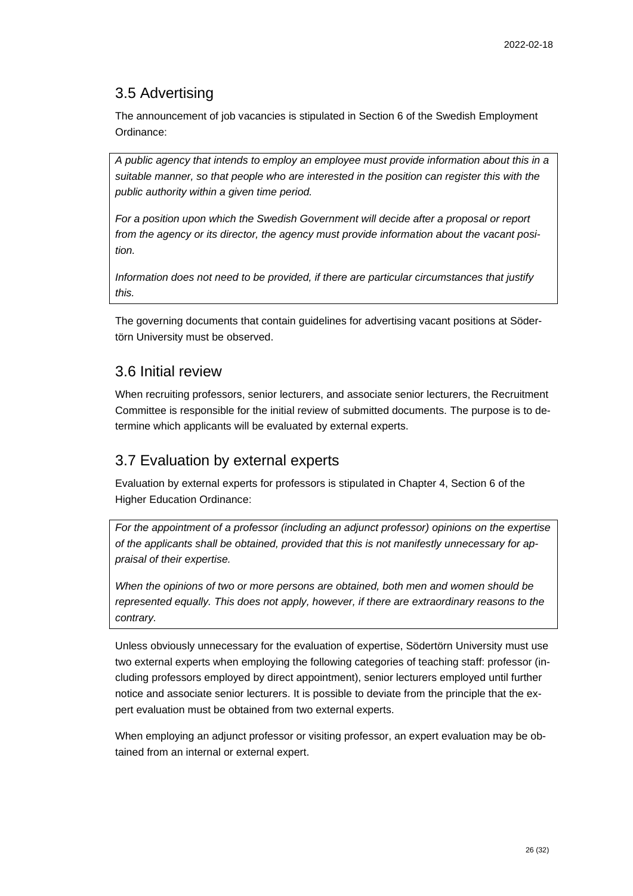## <span id="page-25-0"></span>3.5 Advertising

The announcement of job vacancies is stipulated in Section 6 of the Swedish Employment Ordinance:

*A public agency that intends to employ an employee must provide information about this in a suitable manner, so that people who are interested in the position can register this with the public authority within a given time period.*

*For a position upon which the Swedish Government will decide after a proposal or report from the agency or its director, the agency must provide information about the vacant position.*

*Information does not need to be provided, if there are particular circumstances that justify this.*

The governing documents that contain guidelines for advertising vacant positions at Södertörn University must be observed.

## <span id="page-25-1"></span>3.6 Initial review

When recruiting professors, senior lecturers, and associate senior lecturers, the Recruitment Committee is responsible for the initial review of submitted documents. The purpose is to determine which applicants will be evaluated by external experts.

## <span id="page-25-2"></span>3.7 Evaluation by external experts

Evaluation by external experts for professors is stipulated in Chapter 4, Section 6 of the Higher Education Ordinance:

*For the appointment of a professor (including an adjunct professor) opinions on the expertise of the applicants shall be obtained, provided that this is not manifestly unnecessary for appraisal of their expertise.*

*When the opinions of two or more persons are obtained, both men and women should be represented equally. This does not apply, however, if there are extraordinary reasons to the contrary.*

Unless obviously unnecessary for the evaluation of expertise, Södertörn University must use two external experts when employing the following categories of teaching staff: professor (including professors employed by direct appointment), senior lecturers employed until further notice and associate senior lecturers. It is possible to deviate from the principle that the expert evaluation must be obtained from two external experts.

When employing an adjunct professor or visiting professor, an expert evaluation may be obtained from an internal or external expert.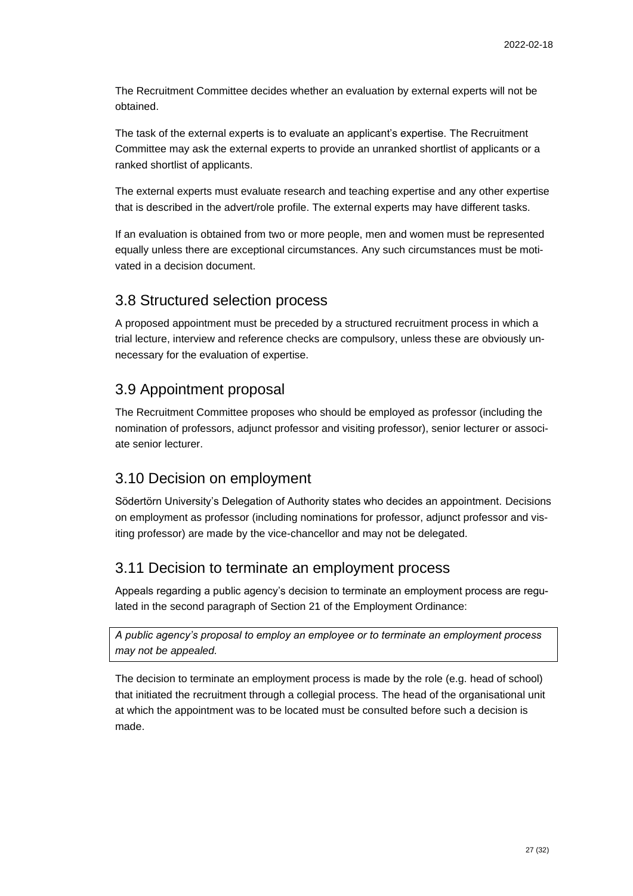The Recruitment Committee decides whether an evaluation by external experts will not be obtained.

The task of the external experts is to evaluate an applicant's expertise. The Recruitment Committee may ask the external experts to provide an unranked shortlist of applicants or a ranked shortlist of applicants.

The external experts must evaluate research and teaching expertise and any other expertise that is described in the advert/role profile. The external experts may have different tasks.

If an evaluation is obtained from two or more people, men and women must be represented equally unless there are exceptional circumstances. Any such circumstances must be motivated in a decision document.

## <span id="page-26-0"></span>3.8 Structured selection process

A proposed appointment must be preceded by a structured recruitment process in which a trial lecture, interview and reference checks are compulsory, unless these are obviously unnecessary for the evaluation of expertise.

## <span id="page-26-1"></span>3.9 Appointment proposal

The Recruitment Committee proposes who should be employed as professor (including the nomination of professors, adjunct professor and visiting professor), senior lecturer or associate senior lecturer.

## <span id="page-26-2"></span>3.10 Decision on employment

Södertörn University's Delegation of Authority states who decides an appointment. Decisions on employment as professor (including nominations for professor, adjunct professor and visiting professor) are made by the vice-chancellor and may not be delegated.

## <span id="page-26-3"></span>3.11 Decision to terminate an employment process

Appeals regarding a public agency's decision to terminate an employment process are regulated in the second paragraph of Section 21 of the Employment Ordinance:

*A public agency's proposal to employ an employee or to terminate an employment process may not be appealed.*

The decision to terminate an employment process is made by the role (e.g. head of school) that initiated the recruitment through a collegial process. The head of the organisational unit at which the appointment was to be located must be consulted before such a decision is made.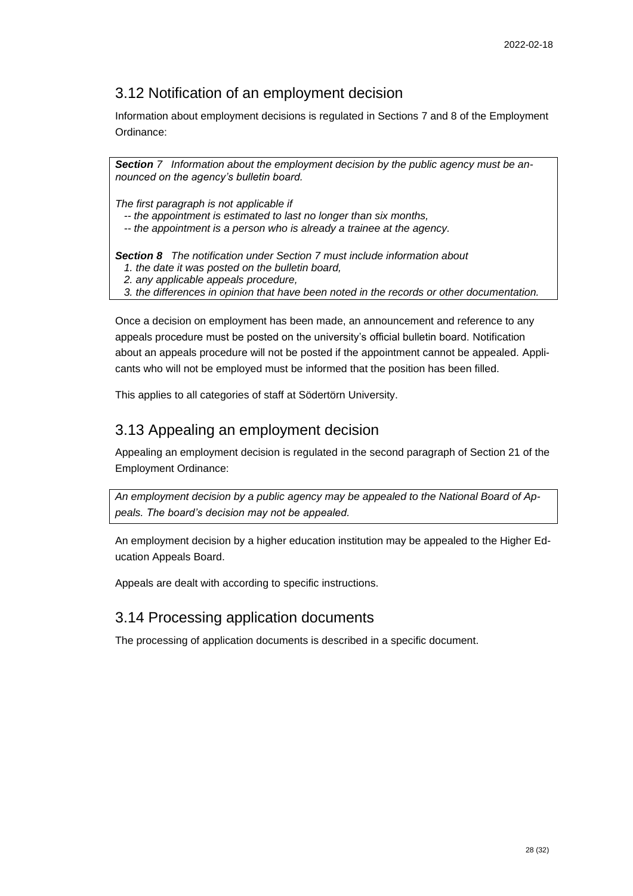## <span id="page-27-0"></span>3.12 Notification of an employment decision

Information about employment decisions is regulated in Sections 7 and 8 of the Employment Ordinance:

*Section 7 Information about the employment decision by the public agency must be announced on the agency's bulletin board.*

*The first paragraph is not applicable if*

- *-- the appointment is estimated to last no longer than six months,*
- *-- the appointment is a person who is already a trainee at the agency.*

*Section 8 The notification under Section 7 must include information about*

- *1. the date it was posted on the bulletin board,*
- *2. any applicable appeals procedure,*

 *3. the differences in opinion that have been noted in the records or other documentation.*

Once a decision on employment has been made, an announcement and reference to any appeals procedure must be posted on the university's official bulletin board. Notification about an appeals procedure will not be posted if the appointment cannot be appealed. Applicants who will not be employed must be informed that the position has been filled.

This applies to all categories of staff at Södertörn University.

## <span id="page-27-1"></span>3.13 Appealing an employment decision

Appealing an employment decision is regulated in the second paragraph of Section 21 of the Employment Ordinance:

*An employment decision by a public agency may be appealed to the National Board of Appeals. The board's decision may not be appealed.*

An employment decision by a higher education institution may be appealed to the Higher Education Appeals Board.

Appeals are dealt with according to specific instructions.

## <span id="page-27-2"></span>3.14 Processing application documents

The processing of application documents is described in a specific document.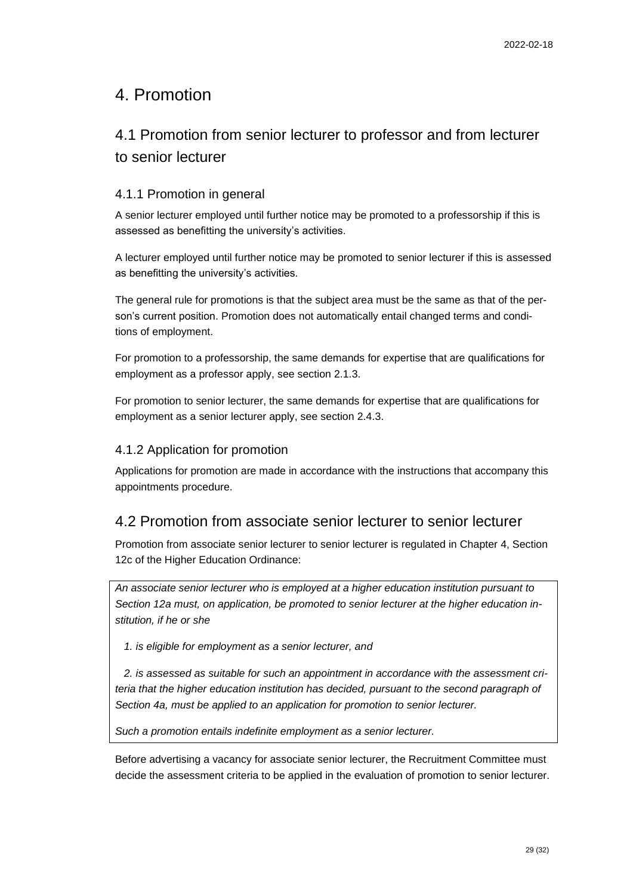## <span id="page-28-0"></span>4. Promotion

## <span id="page-28-1"></span>4.1 Promotion from senior lecturer to professor and from lecturer to senior lecturer

### 4.1.1 Promotion in general

A senior lecturer employed until further notice may be promoted to a professorship if this is assessed as benefitting the university's activities.

A lecturer employed until further notice may be promoted to senior lecturer if this is assessed as benefitting the university's activities.

The general rule for promotions is that the subject area must be the same as that of the person's current position. Promotion does not automatically entail changed terms and conditions of employment.

For promotion to a professorship, the same demands for expertise that are qualifications for employment as a professor apply, see section 2.1.3.

For promotion to senior lecturer, the same demands for expertise that are qualifications for employment as a senior lecturer apply, see section 2.4.3.

### 4.1.2 Application for promotion

Applications for promotion are made in accordance with the instructions that accompany this appointments procedure.

## <span id="page-28-2"></span>4.2 Promotion from associate senior lecturer to senior lecturer

Promotion from associate senior lecturer to senior lecturer is regulated in Chapter 4, Section 12c of the Higher Education Ordinance:

*An associate senior lecturer who is employed at a higher education institution pursuant to Section 12a must, on application, be promoted to senior lecturer at the higher education institution, if he or she*

 *1. is eligible for employment as a senior lecturer, and*

 *2. is assessed as suitable for such an appointment in accordance with the assessment criteria that the higher education institution has decided, pursuant to the second paragraph of Section 4a, must be applied to an application for promotion to senior lecturer.*

*Such a promotion entails indefinite employment as a senior lecturer.*

Before advertising a vacancy for associate senior lecturer, the Recruitment Committee must decide the assessment criteria to be applied in the evaluation of promotion to senior lecturer.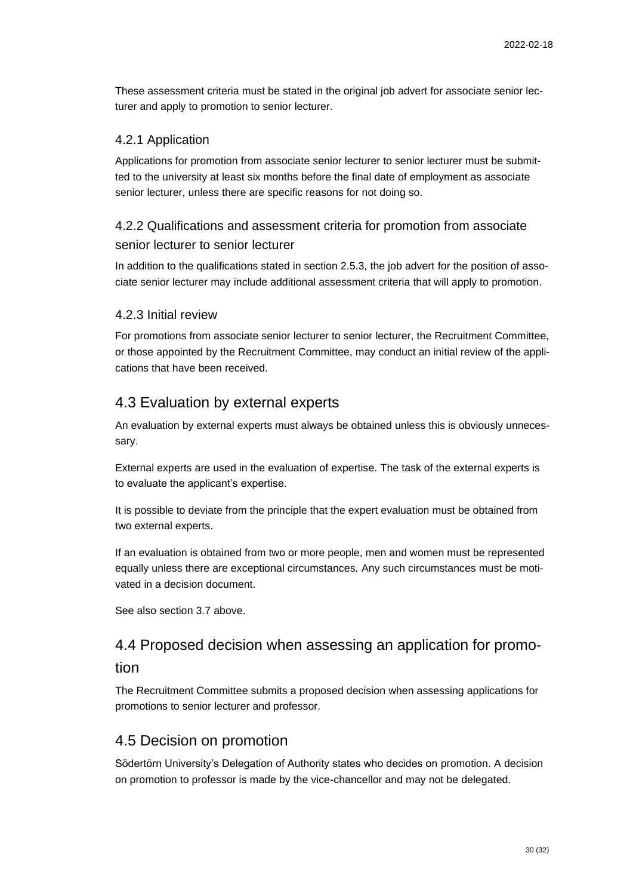These assessment criteria must be stated in the original job advert for associate senior lecturer and apply to promotion to senior lecturer.

#### 4.2.1 Application

Applications for promotion from associate senior lecturer to senior lecturer must be submitted to the university at least six months before the final date of employment as associate senior lecturer, unless there are specific reasons for not doing so.

## 4.2.2 Qualifications and assessment criteria for promotion from associate senior lecturer to senior lecturer

In addition to the qualifications stated in section 2.5.3, the job advert for the position of associate senior lecturer may include additional assessment criteria that will apply to promotion.

#### 4.2.3 Initial review

For promotions from associate senior lecturer to senior lecturer, the Recruitment Committee, or those appointed by the Recruitment Committee, may conduct an initial review of the applications that have been received.

## <span id="page-29-0"></span>4.3 Evaluation by external experts

An evaluation by external experts must always be obtained unless this is obviously unnecessary.

External experts are used in the evaluation of expertise. The task of the external experts is to evaluate the applicant's expertise.

It is possible to deviate from the principle that the expert evaluation must be obtained from two external experts.

If an evaluation is obtained from two or more people, men and women must be represented equally unless there are exceptional circumstances. Any such circumstances must be motivated in a decision document.

See also section 3.7 above.

# <span id="page-29-1"></span>4.4 Proposed decision when assessing an application for promo-

### tion

The Recruitment Committee submits a proposed decision when assessing applications for promotions to senior lecturer and professor.

### <span id="page-29-2"></span>4.5 Decision on promotion

Södertörn University's Delegation of Authority states who decides on promotion. A decision on promotion to professor is made by the vice-chancellor and may not be delegated.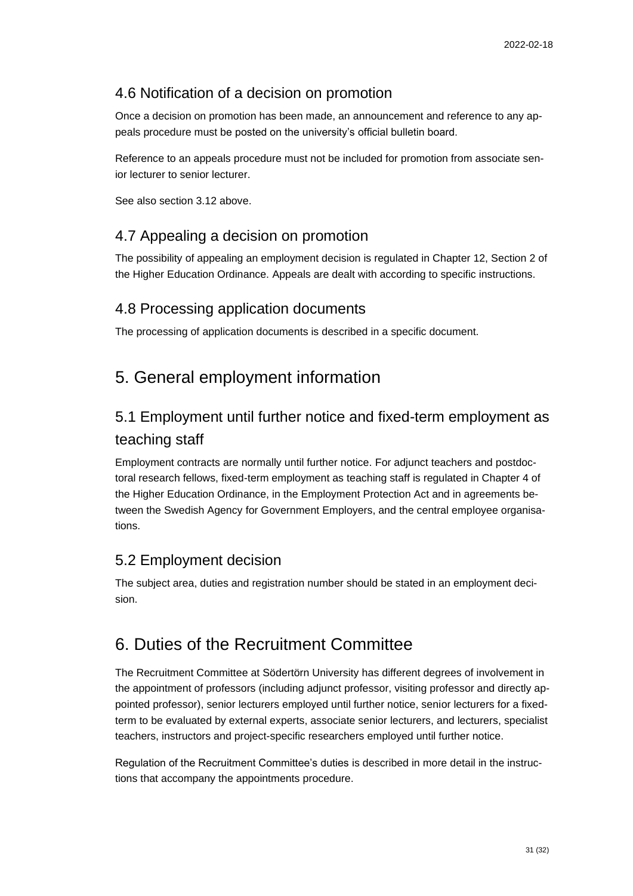## <span id="page-30-0"></span>4.6 Notification of a decision on promotion

Once a decision on promotion has been made, an announcement and reference to any appeals procedure must be posted on the university's official bulletin board.

Reference to an appeals procedure must not be included for promotion from associate senior lecturer to senior lecturer.

See also section 3.12 above.

## <span id="page-30-1"></span>4.7 Appealing a decision on promotion

The possibility of appealing an employment decision is regulated in Chapter 12, Section 2 of the Higher Education Ordinance. Appeals are dealt with according to specific instructions.

## <span id="page-30-2"></span>4.8 Processing application documents

The processing of application documents is described in a specific document.

# <span id="page-30-3"></span>5. General employment information

# <span id="page-30-4"></span>5.1 Employment until further notice and fixed-term employment as teaching staff

Employment contracts are normally until further notice. For adjunct teachers and postdoctoral research fellows, fixed-term employment as teaching staff is regulated in Chapter 4 of the Higher Education Ordinance, in the Employment Protection Act and in agreements between the Swedish Agency for Government Employers, and the central employee organisations.

## <span id="page-30-5"></span>5.2 Employment decision

The subject area, duties and registration number should be stated in an employment decision.

# <span id="page-30-6"></span>6. Duties of the Recruitment Committee

The Recruitment Committee at Södertörn University has different degrees of involvement in the appointment of professors (including adjunct professor, visiting professor and directly appointed professor), senior lecturers employed until further notice, senior lecturers for a fixedterm to be evaluated by external experts, associate senior lecturers, and lecturers, specialist teachers, instructors and project-specific researchers employed until further notice.

Regulation of the Recruitment Committee's duties is described in more detail in the instructions that accompany the appointments procedure.